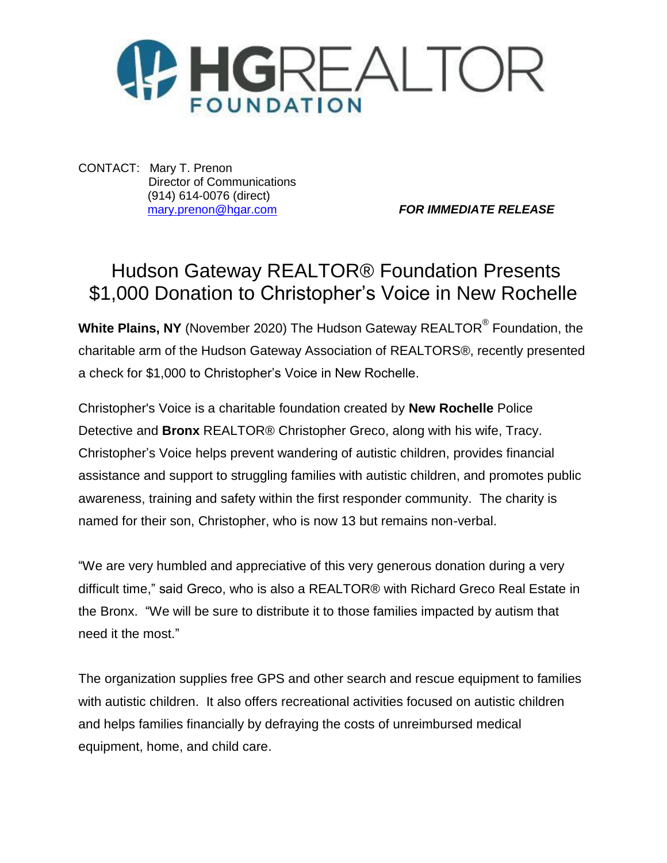

CONTACT: Mary T. Prenon Director of Communications (914) 614-0076 (direct)

[mary.prenon@hgar.com](mailto:mary.prenon@hgar.com) *FOR IMMEDIATE RELEASE*

## Hudson Gateway REALTOR® Foundation Presents \$1,000 Donation to Christopher's Voice in New Rochelle

**White Plains, NY** (November 2020) The Hudson Gateway REALTOR® Foundation, the charitable arm of the Hudson Gateway Association of REALTORS®, recently presented a check for \$1,000 to Christopher's Voice in New Rochelle.

Christopher's Voice is a charitable foundation created by **New Rochelle** Police Detective and **Bronx** REALTOR® Christopher Greco, along with his wife, Tracy. Christopher's Voice helps prevent wandering of autistic children, provides financial assistance and support to struggling families with autistic children, and promotes public awareness, training and safety within the first responder community. The charity is named for their son, Christopher, who is now 13 but remains non-verbal.

"We are very humbled and appreciative of this very generous donation during a very difficult time," said Greco, who is also a REALTOR® with Richard Greco Real Estate in the Bronx. "We will be sure to distribute it to those families impacted by autism that need it the most."

The organization supplies free GPS and other search and rescue equipment to families with autistic children. It also offers recreational activities focused on autistic children and helps families financially by defraying the costs of unreimbursed medical equipment, home, and child care.